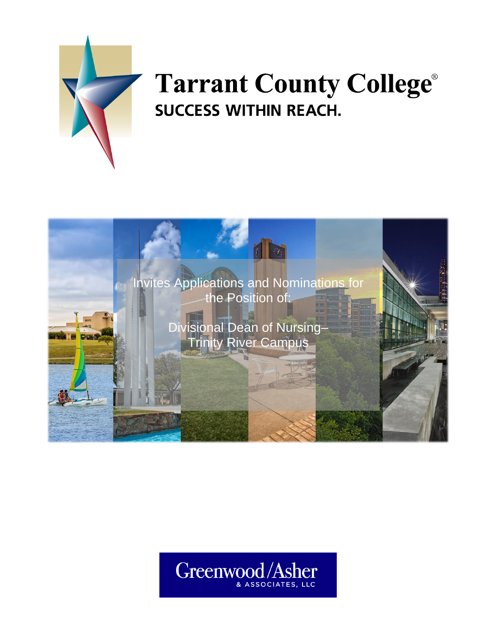

# **Tarrant County College® SUCCESS WITHIN REACH.**



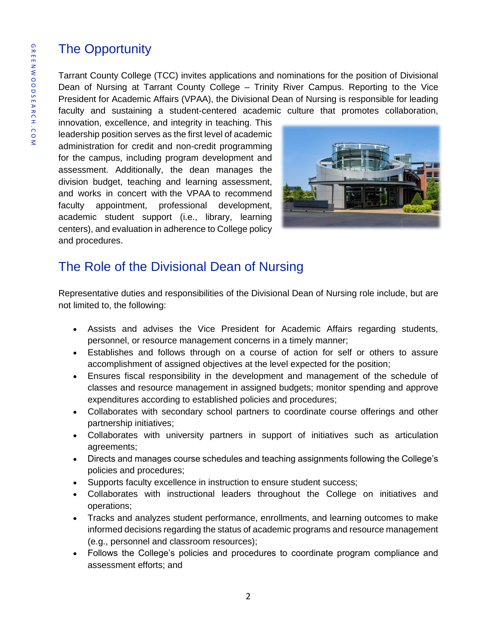## The Opportunity

Tarrant County College (TCC) invites applications and nominations for the position of Divisional Dean of Nursing at Tarrant County College – Trinity River Campus. Reporting to the Vice President for Academic Affairs (VPAA), the Divisional Dean of Nursing is responsible for leading faculty and sustaining a student-centered academic culture that promotes collaboration,

innovation, excellence, and integrity in teaching. This leadership position serves as the first level of academic administration for credit and non-credit programming for the campus, including program development and assessment. Additionally, the dean manages the division budget, teaching and learning assessment, and works in concert with the VPAA to recommend faculty appointment, professional development, academic student support (i.e., library, learning centers), and evaluation in adherence to College policy and procedures.



#### The Role of the Divisional Dean of Nursing

Representative duties and responsibilities of the Divisional Dean of Nursing role include, but are not limited to, the following:

- Assists and advises the Vice President for Academic Affairs regarding students, personnel, or resource management concerns in a timely manner;
- Establishes and follows through on a course of action for self or others to assure accomplishment of assigned objectives at the level expected for the position;
- Ensures fiscal responsibility in the development and management of the schedule of classes and resource management in assigned budgets; monitor spending and approve expenditures according to established policies and procedures;
- Collaborates with secondary school partners to coordinate course offerings and other partnership initiatives;
- Collaborates with university partners in support of initiatives such as articulation agreements;
- Directs and manages course schedules and teaching assignments following the College's policies and procedures;
- Supports faculty excellence in instruction to ensure student success;
- Collaborates with instructional leaders throughout the College on initiatives and operations;
- Tracks and analyzes student performance, enrollments, and learning outcomes to make informed decisions regarding the status of academic programs and resource management (e.g., personnel and classroom resources);
- Follows the College's policies and procedures to coordinate program compliance and assessment efforts; and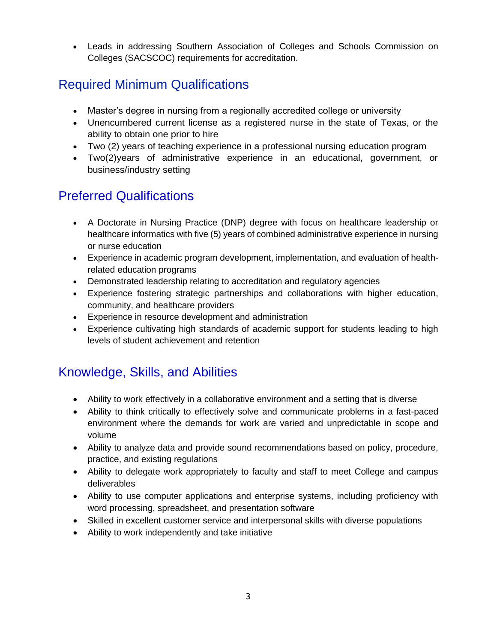• Leads in addressing Southern Association of Colleges and Schools Commission on Colleges (SACSCOC) requirements for accreditation.

#### Required Minimum Qualifications

- Master's degree in nursing from a regionally accredited college or university
- Unencumbered current license as a registered nurse in the state of Texas, or the ability to obtain one prior to hire
- Two (2) years of teaching experience in a professional nursing education program
- Two(2)years of administrative experience in an educational, government, or business/industry setting

#### Preferred Qualifications

- A Doctorate in Nursing Practice (DNP) degree with focus on healthcare leadership or healthcare informatics with five (5) years of combined administrative experience in nursing or nurse education
- Experience in academic program development, implementation, and evaluation of healthrelated education programs
- Demonstrated leadership relating to accreditation and regulatory agencies
- Experience fostering strategic partnerships and collaborations with higher education, community, and healthcare providers
- Experience in resource development and administration
- Experience cultivating high standards of academic support for students leading to high levels of student achievement and retention

#### Knowledge, Skills, and Abilities

- Ability to work effectively in a collaborative environment and a setting that is diverse
- Ability to think critically to effectively solve and communicate problems in a fast-paced environment where the demands for work are varied and unpredictable in scope and volume
- Ability to analyze data and provide sound recommendations based on policy, procedure, practice, and existing regulations
- Ability to delegate work appropriately to faculty and staff to meet College and campus deliverables
- Ability to use computer applications and enterprise systems, including proficiency with word processing, spreadsheet, and presentation software
- Skilled in excellent customer service and interpersonal skills with diverse populations
- Ability to work independently and take initiative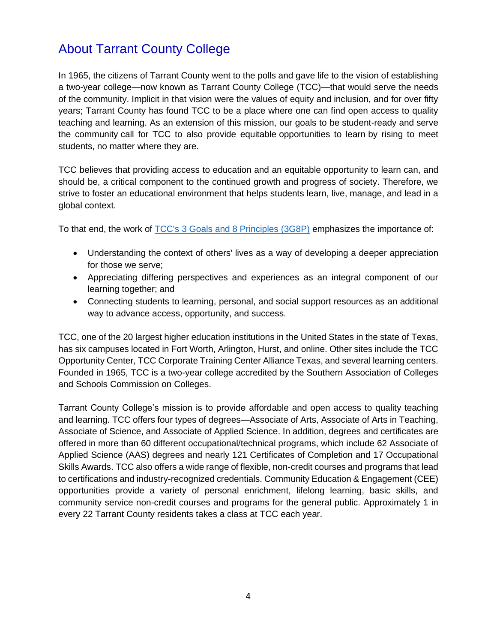### About Tarrant County College

In 1965, the citizens of Tarrant County went to the polls and gave life to the vision of establishing a two-year college—now known as Tarrant County College (TCC)*—*that would serve the needs of the community. Implicit in that vision were the values of equity and inclusion, and for over fifty years; Tarrant County has found TCC to be a place where one can find open access to quality teaching and learning. As an extension of this mission, our goals to be student-ready and serve the community call for TCC to also provide equitable opportunities to learn by rising to meet students, no matter where they are.

TCC believes that providing access to education and an equitable opportunity to learn can, and should be, a critical component to the continued growth and progress of society. Therefore, we strive to foster an educational environment that helps students learn, live, manage, and lead in a global context.

To that end, the work of [TCC's 3 Goals and 8 Principles \(3G8P\)](https://www.tccd.edu/about/mission-and-vision/college-goals-and-principles/) emphasizes the importance of:

- Understanding the context of others' lives as a way of developing a deeper appreciation for those we serve;
- Appreciating differing perspectives and experiences as an integral component of our learning together; and
- Connecting students to learning, personal, and social support resources as an additional way to advance access, opportunity, and success.

TCC, one of the 20 largest higher education institutions in the United States in the state of Texas, has six campuses located in Fort Worth, Arlington, Hurst, and online. Other sites include the TCC Opportunity Center, TCC Corporate Training Center Alliance Texas, and several learning centers. Founded in 1965, TCC is a two-year college accredited by the Southern Association of Colleges and Schools Commission on Colleges.

Tarrant County College's mission is to provide affordable and open access to quality teaching and learning. TCC offers four types of degrees—Associate of Arts, Associate of Arts in Teaching, Associate of Science, and Associate of Applied Science. In addition, degrees and certificates are offered in more than 60 different occupational/technical programs, which include 62 Associate of Applied Science (AAS) degrees and nearly 121 Certificates of Completion and 17 Occupational Skills Awards. TCC also offers a wide range of flexible, non-credit courses and programs that lead to certifications and industry-recognized credentials. Community Education & Engagement (CEE) opportunities provide a variety of personal enrichment, lifelong learning, basic skills, and community service non-credit courses and programs for the general public. Approximately 1 in every 22 Tarrant County residents takes a class at TCC each year.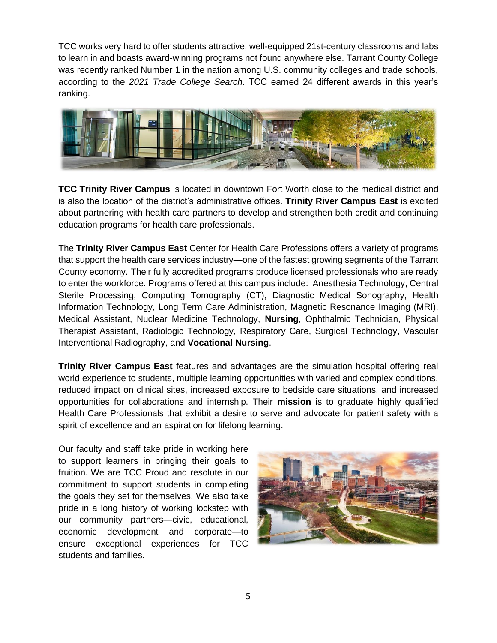TCC works very hard to offer students attractive, well-equipped 21st-century classrooms and labs to learn in and boasts award-winning programs not found anywhere else. Tarrant County College was recently ranked Number 1 in the nation among U.S. community colleges and trade schools, according to the *2021 Trade College Search*. TCC earned 24 different awards in this year's ranking.



**TCC Trinity River Campus** is located in downtown Fort Worth close to the medical district and is also the location of the district's administrative offices. **Trinity River Campus East** is excited about partnering with health care partners to develop and strengthen both credit and continuing education programs for health care professionals.

The **Trinity River Campus East** Center for Health Care Professions offers a variety of programs that support the health care services industry—one of the fastest growing segments of the Tarrant County economy. Their fully accredited programs produce licensed professionals who are ready to enter the workforce. Programs offered at this campus include: Anesthesia Technology, Central Sterile Processing, Computing Tomography (CT), Diagnostic Medical Sonography, Health Information Technology, Long Term Care Administration, Magnetic Resonance Imaging (MRI), Medical Assistant, Nuclear Medicine Technology, **Nursing**, Ophthalmic Technician, Physical Therapist Assistant, Radiologic Technology, Respiratory Care, Surgical Technology, Vascular Interventional Radiography, and **Vocational Nursing**.

**Trinity River Campus East** features and advantages are the simulation hospital offering real world experience to students, multiple learning opportunities with varied and complex conditions, reduced impact on clinical sites, increased exposure to bedside care situations, and increased opportunities for collaborations and internship. Their **mission** is to graduate highly qualified Health Care Professionals that exhibit a desire to serve and advocate for patient safety with a spirit of excellence and an aspiration for lifelong learning.

Our faculty and staff take pride in working here to support learners in bringing their goals to fruition. We are TCC Proud and resolute in our commitment to support students in completing the goals they set for themselves. We also take pride in a long history of working lockstep with our community partners—civic, educational, economic development and corporate—to ensure exceptional experiences for TCC students and families.

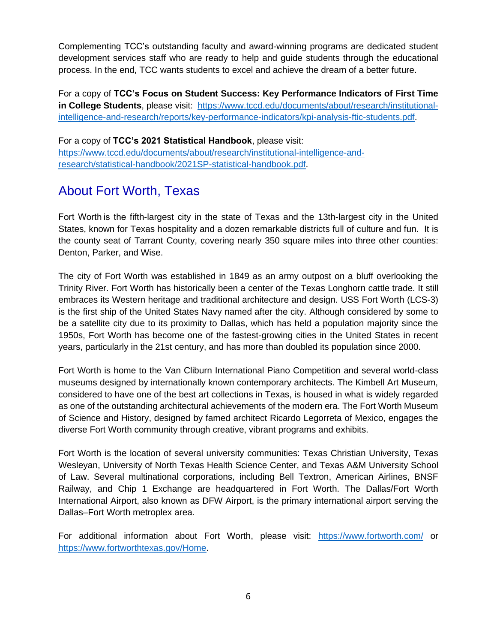Complementing TCC's outstanding faculty and award-winning programs are dedicated student development services staff who are ready to help and guide students through the educational process. In the end, TCC wants students to excel and achieve the dream of a better future.

For a copy of **TCC's Focus on Student Success: Key Performance Indicators of First Time in College Students**, please visit: [https://www.tccd.edu/documents/about/research/institutional](https://www.tccd.edu/documents/about/research/institutional-intelligence-and-research/reports/key-performance-indicators/kpi-analysis-ftic-students.pdf)[intelligence-and-research/reports/key-performance-indicators/kpi-analysis-ftic-students.pdf.](https://www.tccd.edu/documents/about/research/institutional-intelligence-and-research/reports/key-performance-indicators/kpi-analysis-ftic-students.pdf)

For a copy of **TCC's 2021 Statistical Handbook**, please visit: [https://www.tccd.edu/documents/about/research/institutional-intelligence-and](https://www.tccd.edu/documents/about/research/institutional-intelligence-and-research/statistical-handbook/2021SP-statistical-handbook.pdf)[research/statistical-handbook/2021SP-statistical-handbook.pdf.](https://www.tccd.edu/documents/about/research/institutional-intelligence-and-research/statistical-handbook/2021SP-statistical-handbook.pdf)

#### About Fort Worth, Texas

Fort Worth is the fifth-largest city in the state of Texas and the 13th-largest city in the United States, known for Texas hospitality and a dozen remarkable districts full of culture and fun. It is the county seat of Tarrant County, covering nearly 350 square miles into three other counties: Denton, Parker, and Wise.

The city of Fort Worth was established in 1849 as an army outpost on a bluff overlooking the Trinity River. Fort Worth has historically been a center of the Texas Longhorn cattle trade. It still embraces its Western heritage and traditional architecture and design. USS Fort Worth (LCS-3) is the first ship of the United States Navy named after the city. Although considered by some to be a satellite city due to its proximity to Dallas, which has held a population majority since the 1950s, Fort Worth has become one of the fastest-growing cities in the United States in recent years, particularly in the 21st century, and has more than doubled its population since 2000.

Fort Worth is home to the Van Cliburn International Piano Competition and several world-class museums designed by internationally known contemporary architects. The Kimbell Art Museum, considered to have one of the best art collections in Texas, is housed in what is widely regarded as one of the outstanding architectural achievements of the modern era. The Fort Worth Museum of Science and History, designed by famed architect Ricardo Legorreta of Mexico, engages the diverse Fort Worth community through creative, vibrant programs and exhibits.

Fort Worth is the location of several university communities: Texas Christian University, Texas Wesleyan, University of North Texas Health Science Center, and Texas A&M University School of Law. Several multinational corporations, including Bell Textron, American Airlines, BNSF Railway, and Chip 1 Exchange are headquartered in Fort Worth. The Dallas/Fort Worth International Airport, also known as DFW Airport, is the primary international airport serving the Dallas–Fort Worth metroplex area.

For additional information about Fort Worth, please visit: <https://www.fortworth.com/> or [https://www.fortworthtexas.gov/Home.](https://www.fortworthtexas.gov/Home)